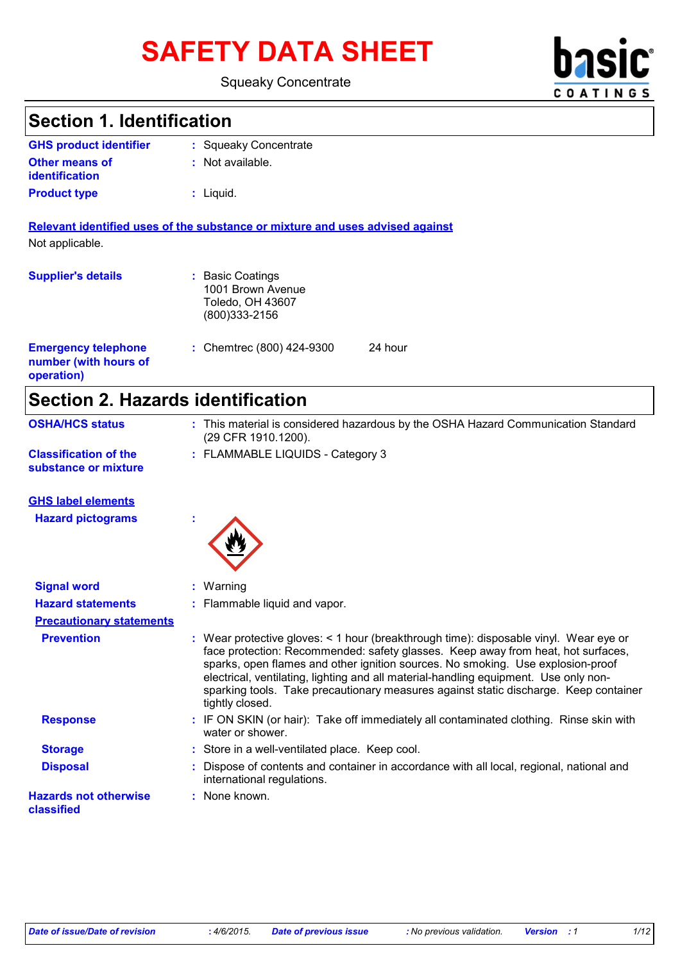# SAFETY DATA SHEET **basic**

#### Squeaky Concentrate



### **Section 1. Identification**

| <b>GHS product identifier</b> | : Squeaky Concentrate |
|-------------------------------|-----------------------|
| <b>Other means of</b>         | : Not available.      |
| identification                |                       |
| <b>Product type</b>           | : Liquid.             |

**Relevant identified uses of the substance or mixture and uses advised against** Not applicable.

| <b>Supplier's details</b>                                         | : Basic Coatings<br>1001 Brown Avenue<br>Toledo, OH 43607<br>$(800)333 - 2156$ |         |
|-------------------------------------------------------------------|--------------------------------------------------------------------------------|---------|
| <b>Emergency telephone</b><br>number (with hours of<br>operation) | : Chemtrec $(800)$ 424-9300                                                    | 24 hour |

### **Section 2. Hazards identification**

| Secuoli 4. Hazarus Iuentincation           |                                                                                                                                                                                                                                                                                                                                                                                                                                                                 |
|--------------------------------------------|-----------------------------------------------------------------------------------------------------------------------------------------------------------------------------------------------------------------------------------------------------------------------------------------------------------------------------------------------------------------------------------------------------------------------------------------------------------------|
| <b>OSHA/HCS status</b>                     | : This material is considered hazardous by the OSHA Hazard Communication Standard<br>(29 CFR 1910.1200).                                                                                                                                                                                                                                                                                                                                                        |
| <b>Classification of the</b>               | : FLAMMABLE LIQUIDS - Category 3                                                                                                                                                                                                                                                                                                                                                                                                                                |
| substance or mixture                       |                                                                                                                                                                                                                                                                                                                                                                                                                                                                 |
| <b>GHS label elements</b>                  |                                                                                                                                                                                                                                                                                                                                                                                                                                                                 |
| <b>Hazard pictograms</b>                   |                                                                                                                                                                                                                                                                                                                                                                                                                                                                 |
| <b>Signal word</b>                         | : Warning                                                                                                                                                                                                                                                                                                                                                                                                                                                       |
| <b>Hazard statements</b>                   | Flammable liquid and vapor.                                                                                                                                                                                                                                                                                                                                                                                                                                     |
| <b>Precautionary statements</b>            |                                                                                                                                                                                                                                                                                                                                                                                                                                                                 |
| <b>Prevention</b>                          | : Wear protective gloves: < 1 hour (breakthrough time): disposable vinyl. Wear eye or<br>face protection: Recommended: safety glasses. Keep away from heat, hot surfaces,<br>sparks, open flames and other ignition sources. No smoking. Use explosion-proof<br>electrical, ventilating, lighting and all material-handling equipment. Use only non-<br>sparking tools. Take precautionary measures against static discharge. Keep container<br>tightly closed. |
| <b>Response</b>                            | : IF ON SKIN (or hair): Take off immediately all contaminated clothing. Rinse skin with<br>water or shower.                                                                                                                                                                                                                                                                                                                                                     |
| <b>Storage</b>                             | : Store in a well-ventilated place. Keep cool.                                                                                                                                                                                                                                                                                                                                                                                                                  |
| <b>Disposal</b>                            | Dispose of contents and container in accordance with all local, regional, national and<br>international regulations.                                                                                                                                                                                                                                                                                                                                            |
| <b>Hazards not otherwise</b><br>classified | : None known.                                                                                                                                                                                                                                                                                                                                                                                                                                                   |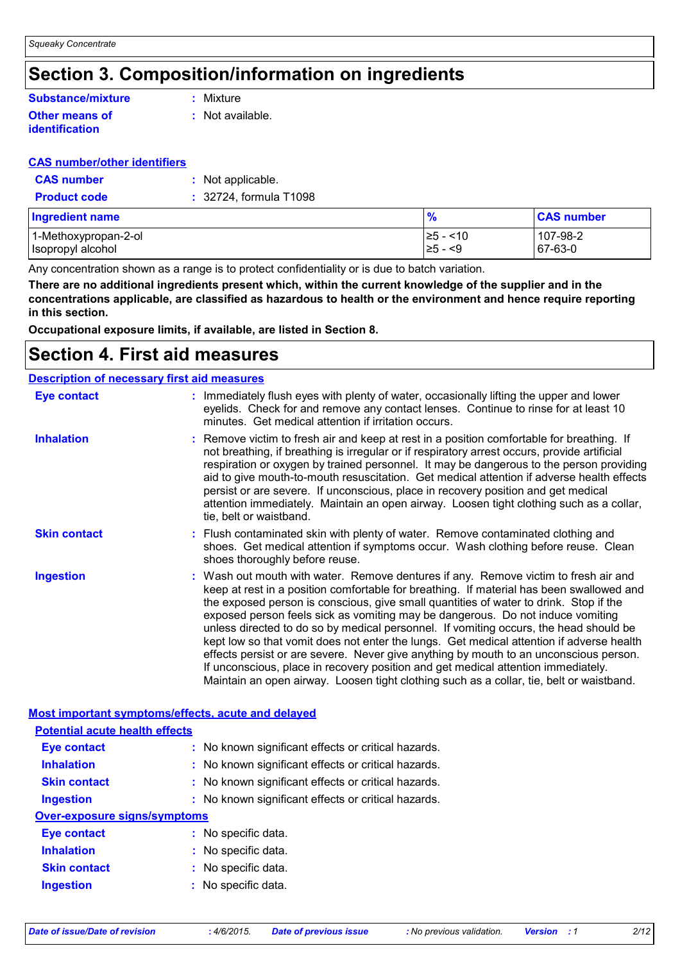### **Section 3. Composition/information on ingredients**

### **Substance/mixture**

#### **Other means of identification**

**:** Mixture

**:** Not available.

#### **CAS number/other identifiers**

| <b>CAS number</b>   | : Not applicable.      |
|---------------------|------------------------|
| <b>Product code</b> | : 32724, formula T1098 |

| <b>Ingredient name</b> | $\frac{9}{6}$ | <b>CAS number</b> |
|------------------------|---------------|-------------------|
| 1-Methoxypropan-2-ol   | l≥5 - <10     | 107-98-2          |
| Isopropyl alcohol      | $\geq 5 - 5$  | $ 67-63-0 $       |

Any concentration shown as a range is to protect confidentiality or is due to batch variation.

**There are no additional ingredients present which, within the current knowledge of the supplier and in the concentrations applicable, are classified as hazardous to health or the environment and hence require reporting in this section.**

**Occupational exposure limits, if available, are listed in Section 8.**

### **Section 4. First aid measures**

| <b>Description of necessary first aid measures</b> |                                                                                                                                                                                                                                                                                                                                                                                                                                                                                                                                                                                                                                                                                                                                                                                                                           |  |
|----------------------------------------------------|---------------------------------------------------------------------------------------------------------------------------------------------------------------------------------------------------------------------------------------------------------------------------------------------------------------------------------------------------------------------------------------------------------------------------------------------------------------------------------------------------------------------------------------------------------------------------------------------------------------------------------------------------------------------------------------------------------------------------------------------------------------------------------------------------------------------------|--|
| <b>Eye contact</b>                                 | : Immediately flush eyes with plenty of water, occasionally lifting the upper and lower<br>eyelids. Check for and remove any contact lenses. Continue to rinse for at least 10<br>minutes. Get medical attention if irritation occurs.                                                                                                                                                                                                                                                                                                                                                                                                                                                                                                                                                                                    |  |
| <b>Inhalation</b>                                  | : Remove victim to fresh air and keep at rest in a position comfortable for breathing. If<br>not breathing, if breathing is irregular or if respiratory arrest occurs, provide artificial<br>respiration or oxygen by trained personnel. It may be dangerous to the person providing<br>aid to give mouth-to-mouth resuscitation. Get medical attention if adverse health effects<br>persist or are severe. If unconscious, place in recovery position and get medical<br>attention immediately. Maintain an open airway. Loosen tight clothing such as a collar,<br>tie, belt or waistband.                                                                                                                                                                                                                              |  |
| <b>Skin contact</b>                                | : Flush contaminated skin with plenty of water. Remove contaminated clothing and<br>shoes. Get medical attention if symptoms occur. Wash clothing before reuse. Clean<br>shoes thoroughly before reuse.                                                                                                                                                                                                                                                                                                                                                                                                                                                                                                                                                                                                                   |  |
| <b>Ingestion</b>                                   | : Wash out mouth with water. Remove dentures if any. Remove victim to fresh air and<br>keep at rest in a position comfortable for breathing. If material has been swallowed and<br>the exposed person is conscious, give small quantities of water to drink. Stop if the<br>exposed person feels sick as vomiting may be dangerous. Do not induce vomiting<br>unless directed to do so by medical personnel. If vomiting occurs, the head should be<br>kept low so that vomit does not enter the lungs. Get medical attention if adverse health<br>effects persist or are severe. Never give anything by mouth to an unconscious person.<br>If unconscious, place in recovery position and get medical attention immediately.<br>Maintain an open airway. Loosen tight clothing such as a collar, tie, belt or waistband. |  |

| Most important symptoms/effects, acute and delayed |                                                     |  |
|----------------------------------------------------|-----------------------------------------------------|--|
| <b>Potential acute health effects</b>              |                                                     |  |
| Eye contact                                        | : No known significant effects or critical hazards. |  |
| <b>Inhalation</b>                                  | : No known significant effects or critical hazards. |  |
| <b>Skin contact</b>                                | : No known significant effects or critical hazards. |  |
| <b>Ingestion</b>                                   | : No known significant effects or critical hazards. |  |
| <b>Over-exposure signs/symptoms</b>                |                                                     |  |
| Eye contact                                        | : No specific data.                                 |  |
| <b>Inhalation</b>                                  | : No specific data.                                 |  |
| <b>Skin contact</b>                                | : No specific data.                                 |  |
| <b>Ingestion</b>                                   | : No specific data.                                 |  |
|                                                    |                                                     |  |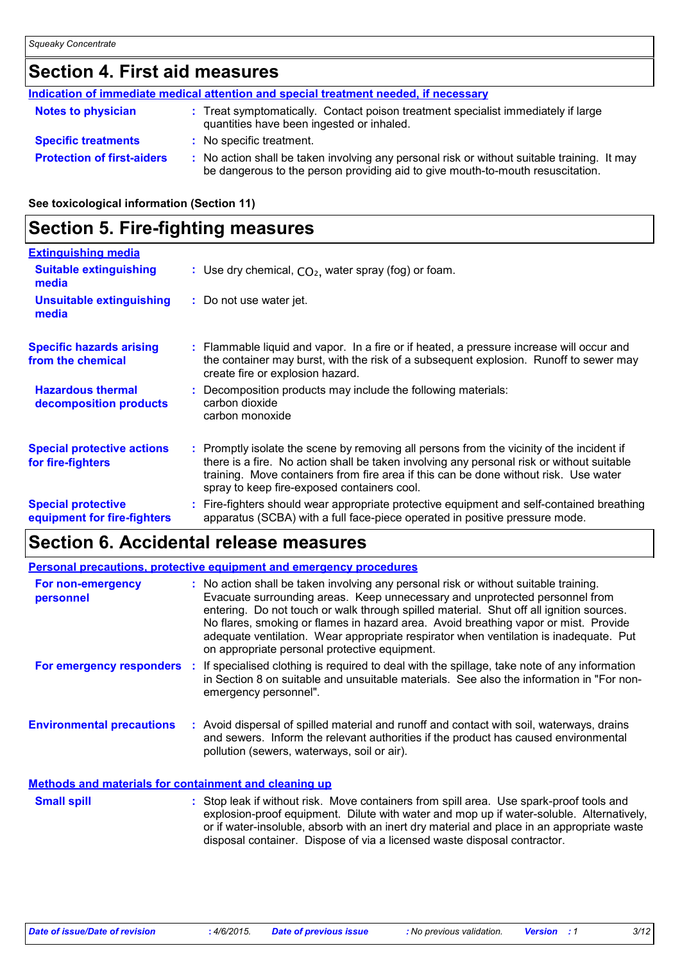### **Section 4. First aid measures**

|                                   | Indication of immediate medical attention and special treatment needed, if necessary                                                                                        |
|-----------------------------------|-----------------------------------------------------------------------------------------------------------------------------------------------------------------------------|
| <b>Notes to physician</b>         | : Treat symptomatically. Contact poison treatment specialist immediately if large<br>quantities have been ingested or inhaled.                                              |
| <b>Specific treatments</b>        | : No specific treatment.                                                                                                                                                    |
| <b>Protection of first-aiders</b> | No action shall be taken involving any personal risk or without suitable training. It may<br>be dangerous to the person providing aid to give mouth-to-mouth resuscitation. |

#### **See toxicological information (Section 11)**

### **Section 5. Fire-fighting measures**

| <b>Extinguishing media</b>                               |                                                                                                                                                                                                                                                                                                                               |
|----------------------------------------------------------|-------------------------------------------------------------------------------------------------------------------------------------------------------------------------------------------------------------------------------------------------------------------------------------------------------------------------------|
| <b>Suitable extinguishing</b><br>media                   | : Use dry chemical, $CO2$ , water spray (fog) or foam.                                                                                                                                                                                                                                                                        |
| <b>Unsuitable extinguishing</b><br>media                 | : Do not use water jet.                                                                                                                                                                                                                                                                                                       |
| <b>Specific hazards arising</b><br>from the chemical     | : Flammable liquid and vapor. In a fire or if heated, a pressure increase will occur and<br>the container may burst, with the risk of a subsequent explosion. Runoff to sewer may<br>create fire or explosion hazard.                                                                                                         |
| <b>Hazardous thermal</b><br>decomposition products       | Decomposition products may include the following materials:<br>carbon dioxide<br>carbon monoxide                                                                                                                                                                                                                              |
| <b>Special protective actions</b><br>for fire-fighters   | : Promptly isolate the scene by removing all persons from the vicinity of the incident if<br>there is a fire. No action shall be taken involving any personal risk or without suitable<br>training. Move containers from fire area if this can be done without risk. Use water<br>spray to keep fire-exposed containers cool. |
| <b>Special protective</b><br>equipment for fire-fighters | Fire-fighters should wear appropriate protective equipment and self-contained breathing<br>apparatus (SCBA) with a full face-piece operated in positive pressure mode.                                                                                                                                                        |

### **Section 6. Accidental release measures**

|                                                              | <b>Personal precautions, protective equipment and emergency procedures</b>                                                                                                                                                                                                                                                                                                                                                                                                                      |
|--------------------------------------------------------------|-------------------------------------------------------------------------------------------------------------------------------------------------------------------------------------------------------------------------------------------------------------------------------------------------------------------------------------------------------------------------------------------------------------------------------------------------------------------------------------------------|
| For non-emergency<br>personnel                               | : No action shall be taken involving any personal risk or without suitable training.<br>Evacuate surrounding areas. Keep unnecessary and unprotected personnel from<br>entering. Do not touch or walk through spilled material. Shut off all ignition sources.<br>No flares, smoking or flames in hazard area. Avoid breathing vapor or mist. Provide<br>adequate ventilation. Wear appropriate respirator when ventilation is inadequate. Put<br>on appropriate personal protective equipment. |
| For emergency responders :                                   | If specialised clothing is required to deal with the spillage, take note of any information<br>in Section 8 on suitable and unsuitable materials. See also the information in "For non-<br>emergency personnel".                                                                                                                                                                                                                                                                                |
| <b>Environmental precautions</b>                             | : Avoid dispersal of spilled material and runoff and contact with soil, waterways, drains<br>and sewers. Inform the relevant authorities if the product has caused environmental<br>pollution (sewers, waterways, soil or air).                                                                                                                                                                                                                                                                 |
| <b>Methods and materials for containment and cleaning up</b> |                                                                                                                                                                                                                                                                                                                                                                                                                                                                                                 |
| <b>Small spill</b>                                           | : Stop leak if without risk. Move containers from spill area. Use spark-proof tools and<br>explosion-proof equipment. Dilute with water and mop up if water-soluble. Alternatively,<br>or if water-insoluble, absorb with an inert dry material and place in an appropriate waste<br>disposal container. Dispose of via a licensed waste disposal contractor.                                                                                                                                   |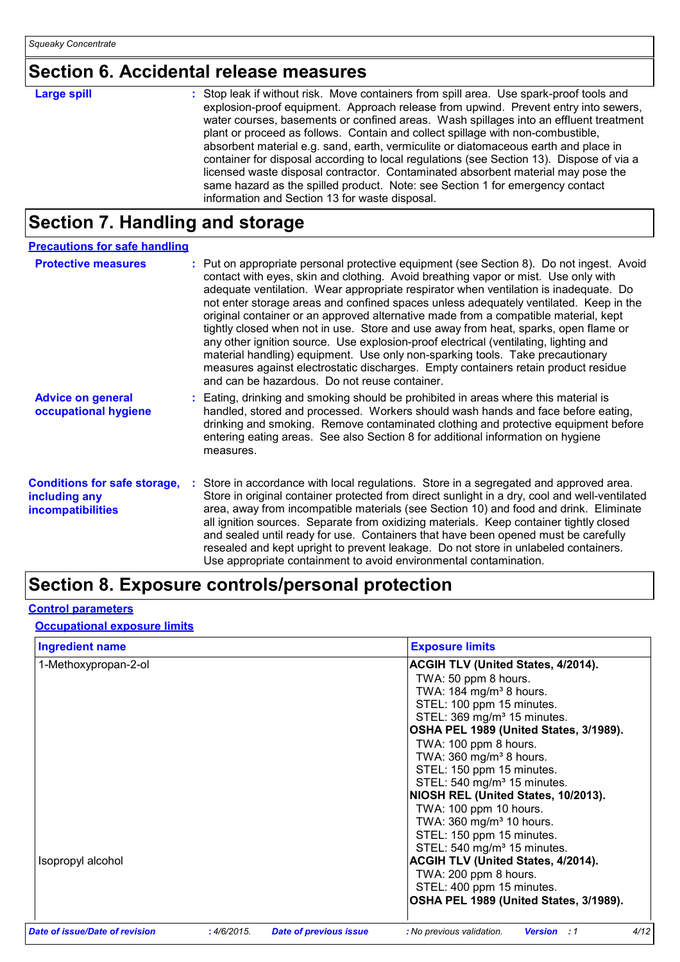### **Section 6. Accidental release measures**

| <b>Large spill</b> | : Stop leak if without risk. Move containers from spill area. Use spark-proof tools and<br>explosion-proof equipment. Approach release from upwind. Prevent entry into sewers,<br>water courses, basements or confined areas. Wash spillages into an effluent treatment<br>plant or proceed as follows. Contain and collect spillage with non-combustible,<br>absorbent material e.g. sand, earth, vermiculite or diatomaceous earth and place in<br>container for disposal according to local regulations (see Section 13). Dispose of via a<br>licensed waste disposal contractor. Contaminated absorbent material may pose the |
|--------------------|-----------------------------------------------------------------------------------------------------------------------------------------------------------------------------------------------------------------------------------------------------------------------------------------------------------------------------------------------------------------------------------------------------------------------------------------------------------------------------------------------------------------------------------------------------------------------------------------------------------------------------------|
|                    | same hazard as the spilled product. Note: see Section 1 for emergency contact                                                                                                                                                                                                                                                                                                                                                                                                                                                                                                                                                     |
|                    | information and Section 13 for waste disposal.                                                                                                                                                                                                                                                                                                                                                                                                                                                                                                                                                                                    |

### **Section 7. Handling and storage**

| <b>Precautions for safe handling</b>                                             |                                                                                                                                                                                                                                                                                                                                                                                                                                                                                                                                                                                                                                                                                                                                                                                                                                                               |
|----------------------------------------------------------------------------------|---------------------------------------------------------------------------------------------------------------------------------------------------------------------------------------------------------------------------------------------------------------------------------------------------------------------------------------------------------------------------------------------------------------------------------------------------------------------------------------------------------------------------------------------------------------------------------------------------------------------------------------------------------------------------------------------------------------------------------------------------------------------------------------------------------------------------------------------------------------|
| <b>Protective measures</b>                                                       | : Put on appropriate personal protective equipment (see Section 8). Do not ingest. Avoid<br>contact with eyes, skin and clothing. Avoid breathing vapor or mist. Use only with<br>adequate ventilation. Wear appropriate respirator when ventilation is inadequate. Do<br>not enter storage areas and confined spaces unless adequately ventilated. Keep in the<br>original container or an approved alternative made from a compatible material, kept<br>tightly closed when not in use. Store and use away from heat, sparks, open flame or<br>any other ignition source. Use explosion-proof electrical (ventilating, lighting and<br>material handling) equipment. Use only non-sparking tools. Take precautionary<br>measures against electrostatic discharges. Empty containers retain product residue<br>and can be hazardous. Do not reuse container. |
| <b>Advice on general</b><br>occupational hygiene                                 | : Eating, drinking and smoking should be prohibited in areas where this material is<br>handled, stored and processed. Workers should wash hands and face before eating,<br>drinking and smoking. Remove contaminated clothing and protective equipment before<br>entering eating areas. See also Section 8 for additional information on hygiene<br>measures.                                                                                                                                                                                                                                                                                                                                                                                                                                                                                                 |
| <b>Conditions for safe storage,</b><br>including any<br><b>incompatibilities</b> | Store in accordance with local regulations. Store in a segregated and approved area.<br>Store in original container protected from direct sunlight in a dry, cool and well-ventilated<br>area, away from incompatible materials (see Section 10) and food and drink. Eliminate<br>all ignition sources. Separate from oxidizing materials. Keep container tightly closed<br>and sealed until ready for use. Containers that have been opened must be carefully<br>resealed and kept upright to prevent leakage. Do not store in unlabeled containers.<br>Use appropriate containment to avoid environmental contamination.                                                                                                                                                                                                                                    |

### **Section 8. Exposure controls/personal protection**

#### **Control parameters**

#### **Occupational exposure limits**

| <b>Ingredient name</b>         |            |                               | <b>Exposure limits</b>                                  |
|--------------------------------|------------|-------------------------------|---------------------------------------------------------|
| 1-Methoxypropan-2-ol           |            |                               | <b>ACGIH TLV (United States, 4/2014).</b>               |
|                                |            |                               | TWA: 50 ppm 8 hours.                                    |
|                                |            |                               | TWA: 184 mg/m <sup>3</sup> 8 hours.                     |
|                                |            |                               | STEL: 100 ppm 15 minutes.                               |
|                                |            |                               | STEL: 369 mg/m <sup>3</sup> 15 minutes.                 |
|                                |            |                               | OSHA PEL 1989 (United States, 3/1989).                  |
|                                |            |                               | TWA: 100 ppm 8 hours.                                   |
|                                |            |                               | TWA: $360$ mg/m <sup>3</sup> 8 hours.                   |
|                                |            |                               | STEL: 150 ppm 15 minutes.                               |
|                                |            |                               | STEL: 540 mg/m <sup>3</sup> 15 minutes.                 |
|                                |            |                               | NIOSH REL (United States, 10/2013).                     |
|                                |            |                               | TWA: 100 ppm 10 hours.                                  |
|                                |            |                               | TWA: 360 mg/m <sup>3</sup> 10 hours.                    |
|                                |            |                               | STEL: 150 ppm 15 minutes.                               |
|                                |            |                               | STEL: 540 mg/m <sup>3</sup> 15 minutes.                 |
| Isopropyl alcohol              |            |                               | ACGIH TLV (United States, 4/2014).                      |
|                                |            |                               | TWA: 200 ppm 8 hours.                                   |
|                                |            |                               | STEL: 400 ppm 15 minutes.                               |
|                                |            |                               | OSHA PEL 1989 (United States, 3/1989).                  |
| Date of issue/Date of revision | :4/6/2015. | <b>Date of previous issue</b> | 4/12<br><b>Version</b> : 1<br>: No previous validation. |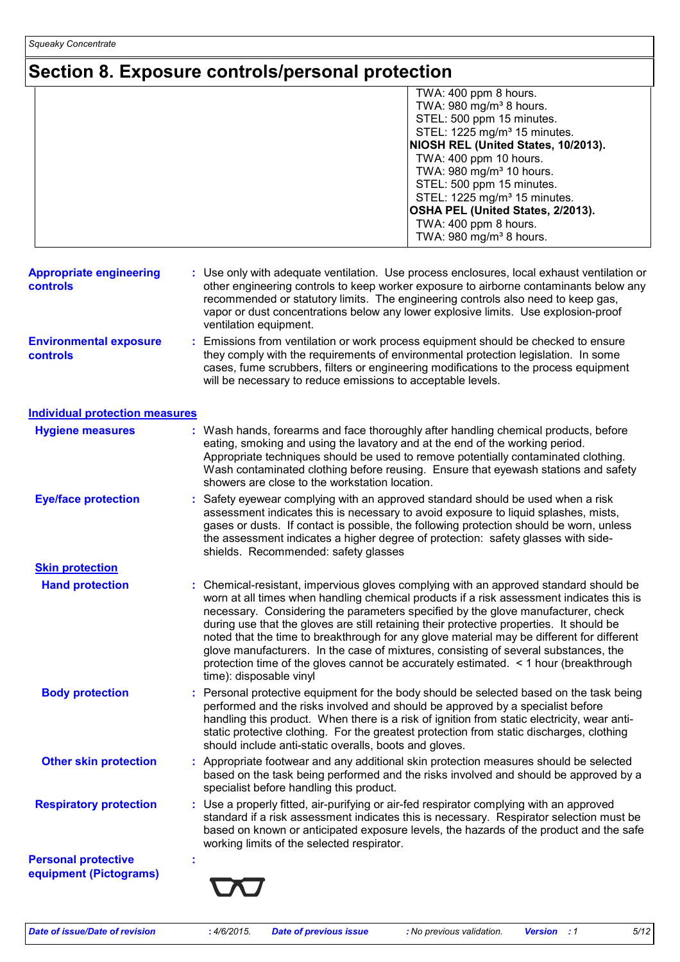## **Section 8. Exposure controls/personal protection**

|                                                   | TWA: 400 ppm 8 hours.<br>TWA: 980 mg/m <sup>3</sup> 8 hours.                                                                                                                                                                                                                                                                                                                                                                                                                                                                                                                                                                                                             |  |
|---------------------------------------------------|--------------------------------------------------------------------------------------------------------------------------------------------------------------------------------------------------------------------------------------------------------------------------------------------------------------------------------------------------------------------------------------------------------------------------------------------------------------------------------------------------------------------------------------------------------------------------------------------------------------------------------------------------------------------------|--|
|                                                   | STEL: 500 ppm 15 minutes.                                                                                                                                                                                                                                                                                                                                                                                                                                                                                                                                                                                                                                                |  |
|                                                   | STEL: 1225 mg/m <sup>3</sup> 15 minutes.                                                                                                                                                                                                                                                                                                                                                                                                                                                                                                                                                                                                                                 |  |
|                                                   | NIOSH REL (United States, 10/2013).                                                                                                                                                                                                                                                                                                                                                                                                                                                                                                                                                                                                                                      |  |
|                                                   | TWA: 400 ppm 10 hours.                                                                                                                                                                                                                                                                                                                                                                                                                                                                                                                                                                                                                                                   |  |
|                                                   | TWA: 980 mg/m <sup>3</sup> 10 hours.                                                                                                                                                                                                                                                                                                                                                                                                                                                                                                                                                                                                                                     |  |
|                                                   | STEL: 500 ppm 15 minutes.<br>STEL: 1225 mg/m <sup>3</sup> 15 minutes.                                                                                                                                                                                                                                                                                                                                                                                                                                                                                                                                                                                                    |  |
|                                                   | OSHA PEL (United States, 2/2013).                                                                                                                                                                                                                                                                                                                                                                                                                                                                                                                                                                                                                                        |  |
|                                                   | TWA: 400 ppm 8 hours.                                                                                                                                                                                                                                                                                                                                                                                                                                                                                                                                                                                                                                                    |  |
|                                                   | TWA: 980 mg/m <sup>3</sup> 8 hours.                                                                                                                                                                                                                                                                                                                                                                                                                                                                                                                                                                                                                                      |  |
| <b>Appropriate engineering</b><br><b>controls</b> | : Use only with adequate ventilation. Use process enclosures, local exhaust ventilation or<br>other engineering controls to keep worker exposure to airborne contaminants below any<br>recommended or statutory limits. The engineering controls also need to keep gas,<br>vapor or dust concentrations below any lower explosive limits. Use explosion-proof<br>ventilation equipment.                                                                                                                                                                                                                                                                                  |  |
| <b>Environmental exposure</b><br>controls         | Emissions from ventilation or work process equipment should be checked to ensure<br>they comply with the requirements of environmental protection legislation. In some<br>cases, fume scrubbers, filters or engineering modifications to the process equipment<br>will be necessary to reduce emissions to acceptable levels.                                                                                                                                                                                                                                                                                                                                            |  |
| <b>Individual protection measures</b>             |                                                                                                                                                                                                                                                                                                                                                                                                                                                                                                                                                                                                                                                                          |  |
| <b>Hygiene measures</b>                           | : Wash hands, forearms and face thoroughly after handling chemical products, before<br>eating, smoking and using the lavatory and at the end of the working period.<br>Appropriate techniques should be used to remove potentially contaminated clothing.<br>Wash contaminated clothing before reusing. Ensure that eyewash stations and safety<br>showers are close to the workstation location.                                                                                                                                                                                                                                                                        |  |
| <b>Eye/face protection</b>                        | Safety eyewear complying with an approved standard should be used when a risk<br>assessment indicates this is necessary to avoid exposure to liquid splashes, mists,<br>gases or dusts. If contact is possible, the following protection should be worn, unless<br>the assessment indicates a higher degree of protection: safety glasses with side-<br>shields. Recommended: safety glasses                                                                                                                                                                                                                                                                             |  |
| <b>Skin protection</b>                            |                                                                                                                                                                                                                                                                                                                                                                                                                                                                                                                                                                                                                                                                          |  |
| <b>Hand protection</b>                            | : Chemical-resistant, impervious gloves complying with an approved standard should be<br>worn at all times when handling chemical products if a risk assessment indicates this is<br>necessary. Considering the parameters specified by the glove manufacturer, check<br>during use that the gloves are still retaining their protective properties. It should be<br>noted that the time to breakthrough for any glove material may be different for different<br>glove manufacturers. In the case of mixtures, consisting of several substances, the<br>protection time of the gloves cannot be accurately estimated. < 1 hour (breakthrough<br>time): disposable vinyl |  |
| <b>Body protection</b>                            | Personal protective equipment for the body should be selected based on the task being<br>performed and the risks involved and should be approved by a specialist before<br>handling this product. When there is a risk of ignition from static electricity, wear anti-<br>static protective clothing. For the greatest protection from static discharges, clothing<br>should include anti-static overalls, boots and gloves.                                                                                                                                                                                                                                             |  |
| <b>Other skin protection</b>                      | : Appropriate footwear and any additional skin protection measures should be selected<br>based on the task being performed and the risks involved and should be approved by a<br>specialist before handling this product.                                                                                                                                                                                                                                                                                                                                                                                                                                                |  |
| <b>Respiratory protection</b>                     | Use a properly fitted, air-purifying or air-fed respirator complying with an approved<br>standard if a risk assessment indicates this is necessary. Respirator selection must be<br>based on known or anticipated exposure levels, the hazards of the product and the safe<br>working limits of the selected respirator.                                                                                                                                                                                                                                                                                                                                                 |  |
| <b>Personal protective</b>                        |                                                                                                                                                                                                                                                                                                                                                                                                                                                                                                                                                                                                                                                                          |  |
| equipment (Pictograms)                            |                                                                                                                                                                                                                                                                                                                                                                                                                                                                                                                                                                                                                                                                          |  |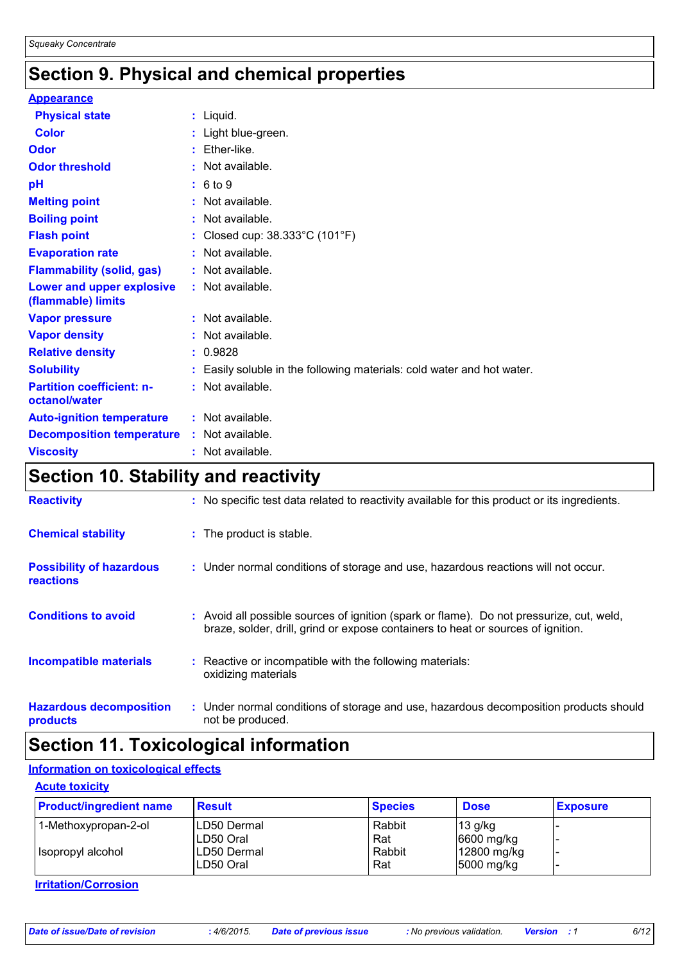### **Section 9. Physical and chemical properties**

| <b>Appearance</b>                                 |                                                                        |
|---------------------------------------------------|------------------------------------------------------------------------|
| <b>Physical state</b>                             | : Liquid.                                                              |
| <b>Color</b>                                      | : Light blue-green.                                                    |
| Odor                                              | $:$ Ether-like.                                                        |
| <b>Odor threshold</b>                             | : Not available.                                                       |
| pH                                                | : 6 to 9                                                               |
| <b>Melting point</b>                              | $:$ Not available.                                                     |
| <b>Boiling point</b>                              | : Not available.                                                       |
| <b>Flash point</b>                                | : Closed cup: $38.333^{\circ}$ C (101 $^{\circ}$ F)                    |
| <b>Evaporation rate</b>                           | : Not available.                                                       |
| <b>Flammability (solid, gas)</b>                  | : Not available.                                                       |
| Lower and upper explosive<br>(flammable) limits   | : Not available.                                                       |
| <b>Vapor pressure</b>                             | : Not available.                                                       |
| <b>Vapor density</b>                              | : Not available.                                                       |
| <b>Relative density</b>                           | : 0.9828                                                               |
| <b>Solubility</b>                                 | : Easily soluble in the following materials: cold water and hot water. |
| <b>Partition coefficient: n-</b><br>octanol/water | : Not available.                                                       |
| <b>Auto-ignition temperature</b>                  | : Not available.                                                       |
| <b>Decomposition temperature</b>                  | : Not available.                                                       |
| <b>Viscosity</b>                                  | $:$ Not available.                                                     |

### **Section 10. Stability and reactivity**

| <b>Reactivity</b>                            | : No specific test data related to reactivity available for this product or its ingredients.                                                                                 |
|----------------------------------------------|------------------------------------------------------------------------------------------------------------------------------------------------------------------------------|
| <b>Chemical stability</b>                    | : The product is stable.                                                                                                                                                     |
| <b>Possibility of hazardous</b><br>reactions | : Under normal conditions of storage and use, hazardous reactions will not occur.                                                                                            |
| <b>Conditions to avoid</b>                   | : Avoid all possible sources of ignition (spark or flame). Do not pressurize, cut, weld,<br>braze, solder, drill, grind or expose containers to heat or sources of ignition. |
| <b>Incompatible materials</b>                | : Reactive or incompatible with the following materials:<br>oxidizing materials                                                                                              |
| <b>Hazardous decomposition</b><br>products   | : Under normal conditions of storage and use, hazardous decomposition products should<br>not be produced.                                                                    |

### **Section 11. Toxicological information**

### **Information on toxicological effects**

#### **Acute toxicity**

| <b>Product/ingredient name</b> | <b>Result</b> | <b>Species</b> | <b>Dose</b> | <b>Exposure</b> |
|--------------------------------|---------------|----------------|-------------|-----------------|
| 1-Methoxypropan-2-ol           | ILD50 Dermal  | Rabbit         | $13$ g/kg   |                 |
|                                | LD50 Oral     | Rat            | 6600 mg/kg  |                 |
| I Isopropyl alcohol            | ILD50 Dermal  | Rabbit         | 12800 mg/kg |                 |
|                                | LD50 Oral     | Rat            | 5000 mg/kg  |                 |

**Irritation/Corrosion**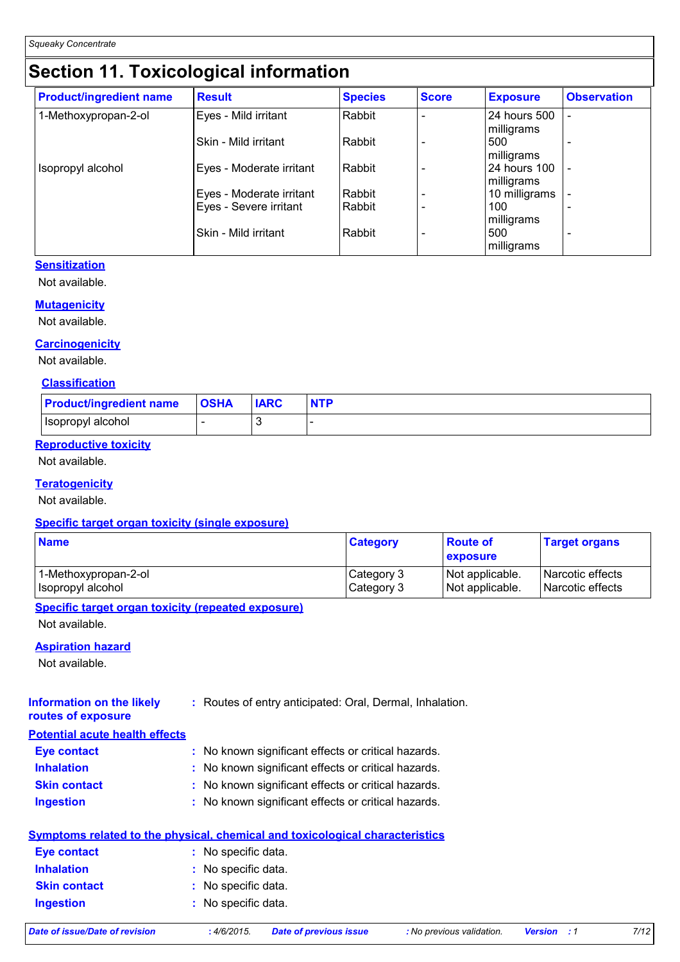## **Section 11. Toxicological information**

| <b>Product/ingredient name</b> | <b>Result</b>            | <b>Species</b> | <b>Score</b> | <b>Exposure</b>            | <b>Observation</b>       |
|--------------------------------|--------------------------|----------------|--------------|----------------------------|--------------------------|
| 1-Methoxypropan-2-ol           | Eyes - Mild irritant     | Rabbit         |              | 24 hours 500<br>milligrams |                          |
|                                | Skin - Mild irritant     | Rabbit         |              | 500<br>milligrams          |                          |
| Isopropyl alcohol              | Eyes - Moderate irritant | Rabbit         |              | 24 hours 100<br>milligrams |                          |
|                                | Eyes - Moderate irritant | Rabbit         |              | 10 milligrams              |                          |
|                                | Eyes - Severe irritant   | Rabbit         |              | 100<br>milligrams          |                          |
|                                | Skin - Mild irritant     | Rabbit         |              | 500<br>milligrams          | $\overline{\phantom{0}}$ |

#### **Sensitization**

Not available.

#### **Mutagenicity**

Not available.

#### **Carcinogenicity**

Not available.

#### **Classification**

| <b>Product/ingredient name</b> | <b>OSHA</b> | <b>IARC</b> | <b>NTP</b> |
|--------------------------------|-------------|-------------|------------|
| Isopropyl alcohol              |             |             |            |

#### **Reproductive toxicity**

Not available.

#### **Teratogenicity**

Not available.

#### **Specific target organ toxicity (single exposure)**

| <b>Name</b>          | <b>Category</b> | <b>Route of</b><br>exposure | <b>Target organs</b> |
|----------------------|-----------------|-----------------------------|----------------------|
| 1-Methoxypropan-2-ol | Category 3      | Not applicable.             | l Narcotic effects   |
| Isopropyl alcohol    | Category 3      | Not applicable.             | l Narcotic effects   |

#### **Specific target organ toxicity (repeated exposure)**

Not available.

#### **Aspiration hazard**

Not available.

| <b>Information on the likely</b> | : Routes of entry anticipated: Oral, Dermal, Inhalation. |
|----------------------------------|----------------------------------------------------------|
| routes of exposure               |                                                          |

| <b>Potential acute health effects</b> |  |  |
|---------------------------------------|--|--|
|                                       |  |  |

| Eye contact         | : No known significant effects or critical hazards. |
|---------------------|-----------------------------------------------------|
| <b>Inhalation</b>   | : No known significant effects or critical hazards. |
| <b>Skin contact</b> | : No known significant effects or critical hazards. |
| <b>Ingestion</b>    | : No known significant effects or critical hazards. |

|                     | Symptoms related to the physical, chemical and toxicological characteristics |
|---------------------|------------------------------------------------------------------------------|
| Eye contact         | : No specific data.                                                          |
| <b>Inhalation</b>   | : No specific data.                                                          |
| <b>Skin contact</b> | : No specific data.                                                          |
| <b>Ingestion</b>    | : No specific data.                                                          |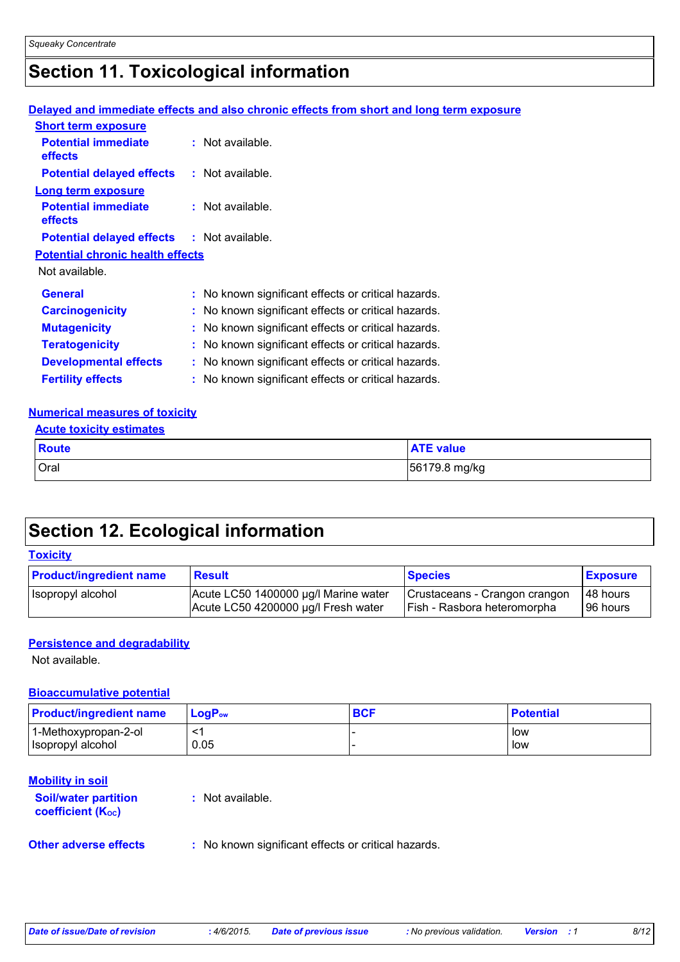### **Section 11. Toxicological information**

#### **Delayed and immediate effects and also chronic effects from short and long term exposure**

| <b>Short term exposure</b>                        |                                                     |
|---------------------------------------------------|-----------------------------------------------------|
| <b>Potential immediate</b><br><b>effects</b>      | $:$ Not available.                                  |
| <b>Potential delayed effects</b>                  | : Not available.                                    |
| Long term exposure                                |                                                     |
| <b>Potential immediate</b><br><b>effects</b>      | $:$ Not available.                                  |
| <b>Potential delayed effects : Not available.</b> |                                                     |
| <b>Potential chronic health effects</b>           |                                                     |
| Not available.                                    |                                                     |
| <b>General</b>                                    | : No known significant effects or critical hazards. |
| <b>Carcinogenicity</b>                            | : No known significant effects or critical hazards. |
| <b>Mutagenicity</b>                               | : No known significant effects or critical hazards. |
| <b>Teratogenicity</b>                             | : No known significant effects or critical hazards. |
| <b>Developmental effects</b>                      | : No known significant effects or critical hazards. |
| <b>Fertility effects</b>                          | : No known significant effects or critical hazards. |

#### **Numerical measures of toxicity**

| <b>Acute toxicity estimates</b> |                  |  |  |  |
|---------------------------------|------------------|--|--|--|
| <b>Route</b>                    | <b>ATE value</b> |  |  |  |
| <b>Oral</b>                     | 56179.8 mg/kg    |  |  |  |

### **Section 12. Ecological information**

#### **Toxicity**

| <b>Product/ingredient name</b> | <b>Result</b>                        | <b>Species</b>                | <b>Exposure</b> |
|--------------------------------|--------------------------------------|-------------------------------|-----------------|
| Isopropyl alcohol              | Acute LC50 1400000 µg/l Marine water | Crustaceans - Crangon crangon | 48 hours        |
|                                | Acute LC50 4200000 µg/l Fresh water  | Fish - Rasbora heteromorpha   | 96 hours        |

#### **Persistence and degradability**

Not available.

#### **Bioaccumulative potential**

| <b>Product/ingredient name</b> | $LoaPow$ | <b>BCF</b> | <b>Potential</b> |
|--------------------------------|----------|------------|------------------|
| 1-Methoxypropan-2-ol           | برسر     |            | low              |
| Isopropyl alcohol              | 0.05     |            | low              |

#### **Mobility in soil**

**Soil/water partition coefficient (KOC)**

**:** Not available.

**Other adverse effects** : No known significant effects or critical hazards.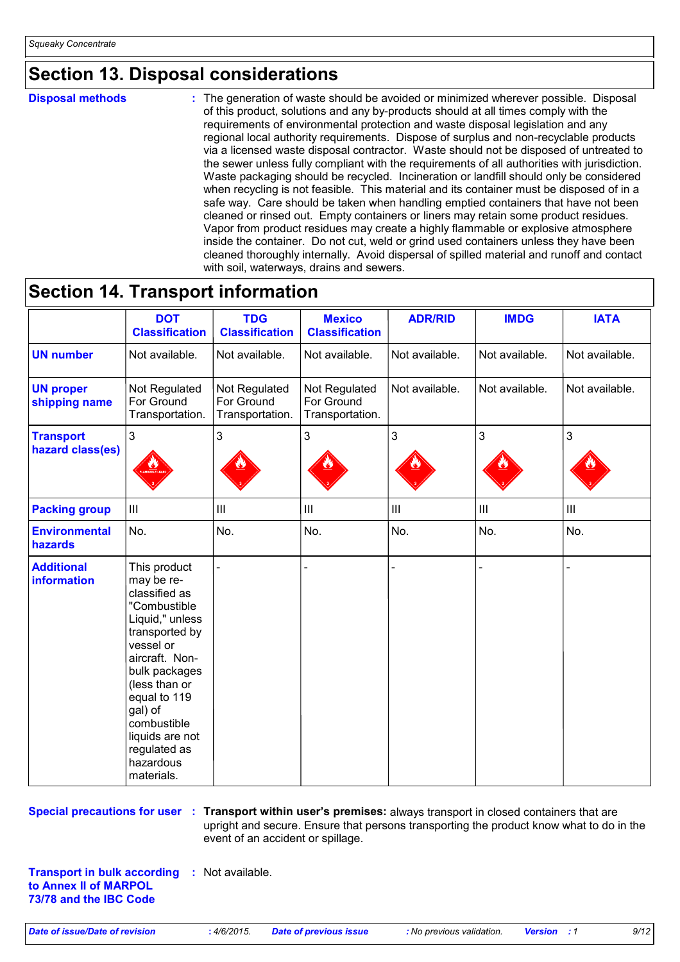### **Section 13. Disposal considerations**

**Disposal methods :**

The generation of waste should be avoided or minimized wherever possible. Disposal of this product, solutions and any by-products should at all times comply with the requirements of environmental protection and waste disposal legislation and any regional local authority requirements. Dispose of surplus and non-recyclable products via a licensed waste disposal contractor. Waste should not be disposed of untreated to the sewer unless fully compliant with the requirements of all authorities with jurisdiction. Waste packaging should be recycled. Incineration or landfill should only be considered when recycling is not feasible. This material and its container must be disposed of in a safe way. Care should be taken when handling emptied containers that have not been cleaned or rinsed out. Empty containers or liners may retain some product residues. Vapor from product residues may create a highly flammable or explosive atmosphere inside the container. Do not cut, weld or grind used containers unless they have been cleaned thoroughly internally. Avoid dispersal of spilled material and runoff and contact with soil, waterways, drains and sewers.

### **Section 14. Transport information**

|                                         | <b>DOT</b><br><b>Classification</b>                                                                                                                                                                                                                                       | <b>TDG</b><br><b>Classification</b>            | <b>Mexico</b><br><b>Classification</b>         | <b>ADR/RID</b>              | <b>IMDG</b>    | <b>IATA</b>                        |
|-----------------------------------------|---------------------------------------------------------------------------------------------------------------------------------------------------------------------------------------------------------------------------------------------------------------------------|------------------------------------------------|------------------------------------------------|-----------------------------|----------------|------------------------------------|
| <b>UN number</b>                        | Not available.                                                                                                                                                                                                                                                            | Not available.                                 | Not available.                                 | Not available.              | Not available. | Not available.                     |
| <b>UN proper</b><br>shipping name       | Not Regulated<br>For Ground<br>Transportation.                                                                                                                                                                                                                            | Not Regulated<br>For Ground<br>Transportation. | Not Regulated<br>For Ground<br>Transportation. | Not available.              | Not available. | Not available.                     |
| <b>Transport</b><br>hazard class(es)    | $\mathfrak{S}$                                                                                                                                                                                                                                                            | 3                                              | 3                                              | 3                           | 3              | 3                                  |
| <b>Packing group</b>                    | $\mathop{\rm III}$                                                                                                                                                                                                                                                        | $\ensuremath{\mathsf{III}}\xspace$             | $\mathop{\rm III}\nolimits$                    | $\mathop{\rm III}\nolimits$ | $\  \ $        | $\ensuremath{\mathsf{III}}\xspace$ |
| <b>Environmental</b><br>hazards         | No.                                                                                                                                                                                                                                                                       | No.                                            | No.                                            | No.                         | No.            | No.                                |
| <b>Additional</b><br><b>information</b> | This product<br>may be re-<br>classified as<br>"Combustible<br>Liquid," unless<br>transported by<br>vessel or<br>aircraft. Non-<br>bulk packages<br>(less than or<br>equal to 119<br>gal) of<br>combustible<br>liquids are not<br>regulated as<br>hazardous<br>materials. |                                                |                                                |                             |                |                                    |

**Special precautions for user** : Transport within user's premises: always transport in closed containers that are upright and secure. Ensure that persons transporting the product know what to do in the event of an accident or spillage.

**Transport in bulk according :** Not available. **to Annex II of MARPOL 73/78 and the IBC Code**

*Date of issue/Date of revision* **:** *4/6/2015. Date of previous issue : No previous validation. Version : 1 9/12*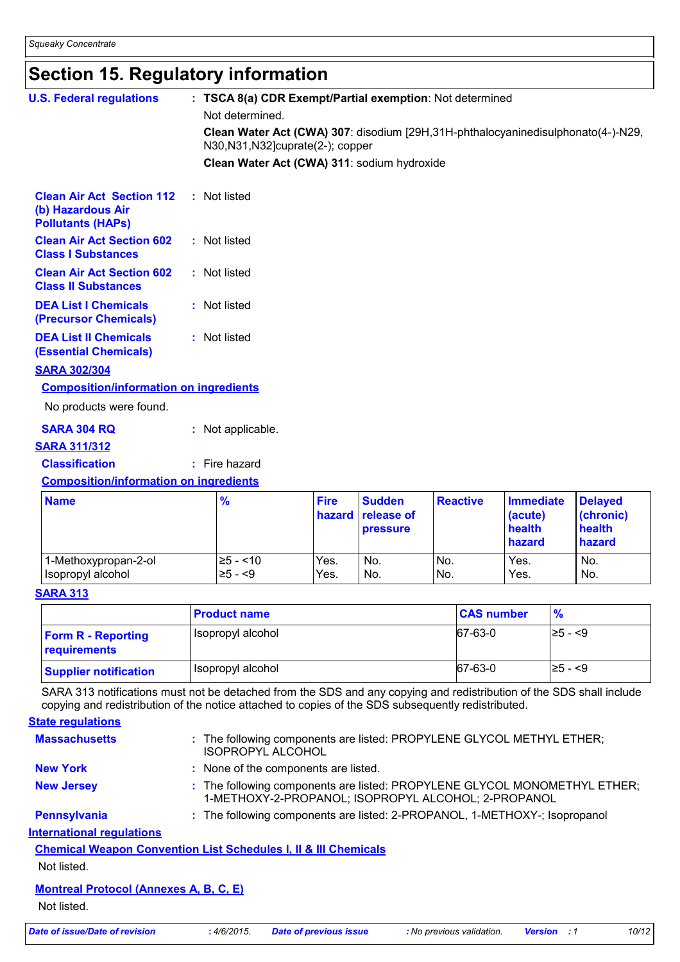### **Section 15. Regulatory information**

| <b>U.S. Federal regulations</b>                                                   |  | : TSCA 8(a) CDR Exempt/Partial exemption: Not determined                                                                                   |                       |                                                |                 |                                                 |                                                 |
|-----------------------------------------------------------------------------------|--|--------------------------------------------------------------------------------------------------------------------------------------------|-----------------------|------------------------------------------------|-----------------|-------------------------------------------------|-------------------------------------------------|
|                                                                                   |  | Not determined.<br>Clean Water Act (CWA) 307: disodium [29H,31H-phthalocyaninedisulphonato(4-)-N29,<br>N30, N31, N32] cuprate (2-); copper |                       |                                                |                 |                                                 |                                                 |
|                                                                                   |  | Clean Water Act (CWA) 311: sodium hydroxide                                                                                                |                       |                                                |                 |                                                 |                                                 |
| <b>Clean Air Act Section 112</b><br>(b) Hazardous Air<br><b>Pollutants (HAPs)</b> |  | : Not listed                                                                                                                               |                       |                                                |                 |                                                 |                                                 |
| <b>Clean Air Act Section 602</b><br><b>Class I Substances</b>                     |  | : Not listed                                                                                                                               |                       |                                                |                 |                                                 |                                                 |
| <b>Clean Air Act Section 602</b><br><b>Class II Substances</b>                    |  | : Not listed                                                                                                                               |                       |                                                |                 |                                                 |                                                 |
| <b>DEA List I Chemicals</b><br>(Precursor Chemicals)                              |  | : Not listed                                                                                                                               |                       |                                                |                 |                                                 |                                                 |
| <b>DEA List II Chemicals</b><br><b>(Essential Chemicals)</b>                      |  | : Not listed                                                                                                                               |                       |                                                |                 |                                                 |                                                 |
| <b>SARA 302/304</b>                                                               |  |                                                                                                                                            |                       |                                                |                 |                                                 |                                                 |
| <b>Composition/information on ingredients</b>                                     |  |                                                                                                                                            |                       |                                                |                 |                                                 |                                                 |
| No products were found.                                                           |  |                                                                                                                                            |                       |                                                |                 |                                                 |                                                 |
| <b>SARA 304 RQ</b>                                                                |  | : Not applicable.                                                                                                                          |                       |                                                |                 |                                                 |                                                 |
| <b>SARA 311/312</b>                                                               |  |                                                                                                                                            |                       |                                                |                 |                                                 |                                                 |
| <b>Classification</b>                                                             |  | $:$ Fire hazard                                                                                                                            |                       |                                                |                 |                                                 |                                                 |
| <b>Composition/information on ingredients</b>                                     |  |                                                                                                                                            |                       |                                                |                 |                                                 |                                                 |
| <b>Name</b>                                                                       |  | $\frac{9}{6}$                                                                                                                              | <b>Fire</b><br>hazard | <b>Sudden</b><br>release of<br><b>pressure</b> | <b>Reactive</b> | <b>Immediate</b><br>(acute)<br>health<br>hazard | <b>Delayed</b><br>(chronic)<br>health<br>hazard |

#### **SARA 313**

|                                           | <b>Product name</b> | <b>CAS number</b> | $\frac{9}{6}$ |
|-------------------------------------------|---------------------|-------------------|---------------|
| <b>Form R - Reporting</b><br>requirements | I Isopropyl alcohol | 67-63-0           | $\geq 5 - 5$  |
| <b>Supplier notification</b>              | Isopropyl alcohol   | 67-63-0           | $\geq 5 - 5$  |

1-Methoxypropan-2-ol  $|z_5 - 10|$  Yes. No. No. Yes. No. Isopropyl alcohol ≥5 - <9 Yes. No. No. Yes. No.

SARA 313 notifications must not be detached from the SDS and any copying and redistribution of the SDS shall include copying and redistribution of the notice attached to copies of the SDS subsequently redistributed.

**State regulations**

| Date of issue/Date of revision                                             | : 4/6/2015. | <b>Date of previous issue</b>                                                                                                    | : No previous validation. | <b>Version</b> : 1 | 10/12 |
|----------------------------------------------------------------------------|-------------|----------------------------------------------------------------------------------------------------------------------------------|---------------------------|--------------------|-------|
| Not listed.                                                                |             |                                                                                                                                  |                           |                    |       |
| <b>Montreal Protocol (Annexes A, B, C, E)</b>                              |             |                                                                                                                                  |                           |                    |       |
| Not listed.                                                                |             |                                                                                                                                  |                           |                    |       |
| <b>Chemical Weapon Convention List Schedules I, II &amp; III Chemicals</b> |             |                                                                                                                                  |                           |                    |       |
| <b>International requlations</b>                                           |             |                                                                                                                                  |                           |                    |       |
| <b>Pennsylvania</b>                                                        |             | : The following components are listed: 2-PROPANOL, 1-METHOXY-; Isopropanol                                                       |                           |                    |       |
| <b>New Jersey</b>                                                          |             | : The following components are listed: PROPYLENE GLYCOL MONOMETHYL ETHER;<br>1-METHOXY-2-PROPANOL; ISOPROPYL ALCOHOL; 2-PROPANOL |                           |                    |       |
| <b>New York</b>                                                            |             | : None of the components are listed.                                                                                             |                           |                    |       |
| <b>Massachusetts</b>                                                       |             | : The following components are listed: PROPYLENE GLYCOL METHYL ETHER;<br><b>ISOPROPYL ALCOHOL</b>                                |                           |                    |       |
|                                                                            |             |                                                                                                                                  |                           |                    |       |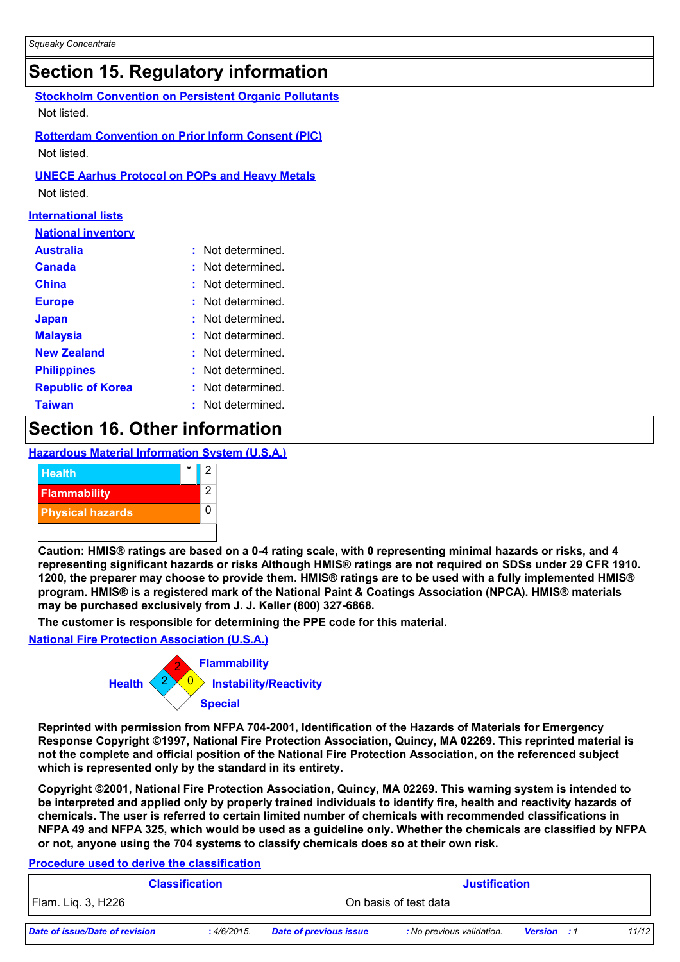### **Section 15. Regulatory information**

| Secuon 19. Reguiatory information                     |                                                              |  |  |  |  |  |  |
|-------------------------------------------------------|--------------------------------------------------------------|--|--|--|--|--|--|
|                                                       | <b>Stockholm Convention on Persistent Organic Pollutants</b> |  |  |  |  |  |  |
| Not listed.                                           |                                                              |  |  |  |  |  |  |
|                                                       | <b>Rotterdam Convention on Prior Inform Consent (PIC)</b>    |  |  |  |  |  |  |
| Not listed.                                           |                                                              |  |  |  |  |  |  |
| <b>UNECE Aarhus Protocol on POPs and Heavy Metals</b> |                                                              |  |  |  |  |  |  |
| Not listed.                                           |                                                              |  |  |  |  |  |  |
| <u>International lists</u>                            |                                                              |  |  |  |  |  |  |
| <b>National inventory</b>                             |                                                              |  |  |  |  |  |  |
| <b>Australia</b>                                      | Not determined.                                              |  |  |  |  |  |  |
| <b>Canada</b>                                         | Not determined.                                              |  |  |  |  |  |  |
| <b>China</b>                                          | Not determined.                                              |  |  |  |  |  |  |
| <b>Europe</b>                                         | Not determined.                                              |  |  |  |  |  |  |
| <b>Japan</b>                                          | Not determined.                                              |  |  |  |  |  |  |
| <b>Malaysia</b>                                       | Not determined.                                              |  |  |  |  |  |  |
| <b>New Zealand</b>                                    | Not determined.                                              |  |  |  |  |  |  |

| <b>Philippines</b>       | : Not determined. |
|--------------------------|-------------------|
| <b>Republic of Korea</b> | : Not determined. |

**Taiwan :** Not determined.

### **Section 16. Other information**

#### **Hazardous Material Information System (U.S.A.)**



**Caution: HMIS® ratings are based on a 0-4 rating scale, with 0 representing minimal hazards or risks, and 4 representing significant hazards or risks Although HMIS® ratings are not required on SDSs under 29 CFR 1910. 1200, the preparer may choose to provide them. HMIS® ratings are to be used with a fully implemented HMIS® program. HMIS® is a registered mark of the National Paint & Coatings Association (NPCA). HMIS® materials may be purchased exclusively from J. J. Keller (800) 327-6868.**

**The customer is responsible for determining the PPE code for this material.**

#### **National Fire Protection Association (U.S.A.)**



**Reprinted with permission from NFPA 704-2001, Identification of the Hazards of Materials for Emergency Response Copyright ©1997, National Fire Protection Association, Quincy, MA 02269. This reprinted material is not the complete and official position of the National Fire Protection Association, on the referenced subject which is represented only by the standard in its entirety.**

**Copyright ©2001, National Fire Protection Association, Quincy, MA 02269. This warning system is intended to be interpreted and applied only by properly trained individuals to identify fire, health and reactivity hazards of chemicals. The user is referred to certain limited number of chemicals with recommended classifications in NFPA 49 and NFPA 325, which would be used as a guideline only. Whether the chemicals are classified by NFPA or not, anyone using the 704 systems to classify chemicals does so at their own risk.**

#### **Procedure used to derive the classification**

|                                | <b>Classification</b> |                               | <b>Justification</b> |                           |                    |       |
|--------------------------------|-----------------------|-------------------------------|----------------------|---------------------------|--------------------|-------|
| Flam. Lig. 3, H226             |                       |                               |                      | On basis of test data     |                    |       |
| Date of issue/Date of revision | :4/6/2015.            | <b>Date of previous issue</b> |                      | : No previous validation. | <b>Version</b> : 1 | 11/12 |